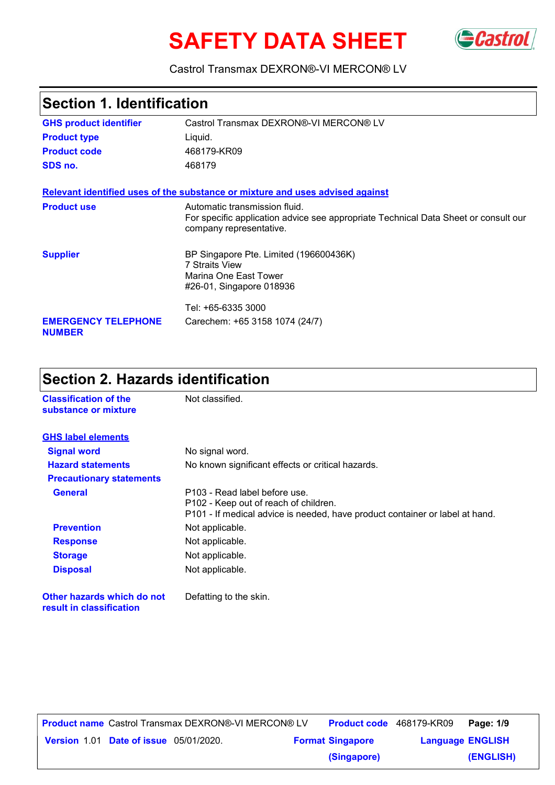# **SAFETY DATA SHEET** GCastrol



#### Castrol Transmax DEXRON®-VI MERCON® LV

| Section 1. Identification                   |                                                                                                                                                 |  |  |  |
|---------------------------------------------|-------------------------------------------------------------------------------------------------------------------------------------------------|--|--|--|
| <b>GHS product identifier</b>               | Castrol Transmax DEXRON®-VI MERCON® LV                                                                                                          |  |  |  |
| <b>Product type</b>                         | Liquid.                                                                                                                                         |  |  |  |
| <b>Product code</b>                         | 468179-KR09                                                                                                                                     |  |  |  |
| SDS no.                                     | 468179                                                                                                                                          |  |  |  |
|                                             | Relevant identified uses of the substance or mixture and uses advised against                                                                   |  |  |  |
| <b>Product use</b>                          | Automatic transmission fluid.<br>For specific application advice see appropriate Technical Data Sheet or consult our<br>company representative. |  |  |  |
| <b>Supplier</b>                             | BP Singapore Pte. Limited (196600436K)<br><b>7 Straits View</b><br>Marina One East Tower<br>#26-01, Singapore 018936                            |  |  |  |
|                                             | Tel: +65-6335 3000                                                                                                                              |  |  |  |
| <b>EMERGENCY TELEPHONE</b><br><b>NUMBER</b> | Carechem: +65 3158 1074 (24/7)                                                                                                                  |  |  |  |

## **Section 2. Hazards identification**

| <b>Classification of the</b><br>substance or mixture   | Not classified.                                                                                                                                        |
|--------------------------------------------------------|--------------------------------------------------------------------------------------------------------------------------------------------------------|
| <b>GHS label elements</b>                              |                                                                                                                                                        |
| <b>Signal word</b>                                     | No signal word.                                                                                                                                        |
| <b>Hazard statements</b>                               | No known significant effects or critical hazards.                                                                                                      |
| <b>Precautionary statements</b>                        |                                                                                                                                                        |
| <b>General</b>                                         | P103 - Read label before use.<br>P102 - Keep out of reach of children.<br>P101 - If medical advice is needed, have product container or label at hand. |
| <b>Prevention</b>                                      | Not applicable.                                                                                                                                        |
| <b>Response</b>                                        | Not applicable.                                                                                                                                        |
| <b>Storage</b>                                         | Not applicable.                                                                                                                                        |
| <b>Disposal</b>                                        | Not applicable.                                                                                                                                        |
| Other hazards which do not<br>result in classification | Defatting to the skin.                                                                                                                                 |

|                                               | <b>Product name</b> Castrol Transmax DEXRON®-VI MERCON® LV | <b>Product code</b> 468179-KR09 |                         | Page: 1/9 |
|-----------------------------------------------|------------------------------------------------------------|---------------------------------|-------------------------|-----------|
| <b>Version 1.01 Date of issue 05/01/2020.</b> |                                                            | <b>Format Singapore</b>         | <b>Language ENGLISH</b> |           |
|                                               |                                                            | (Singapore)                     |                         | (ENGLISH) |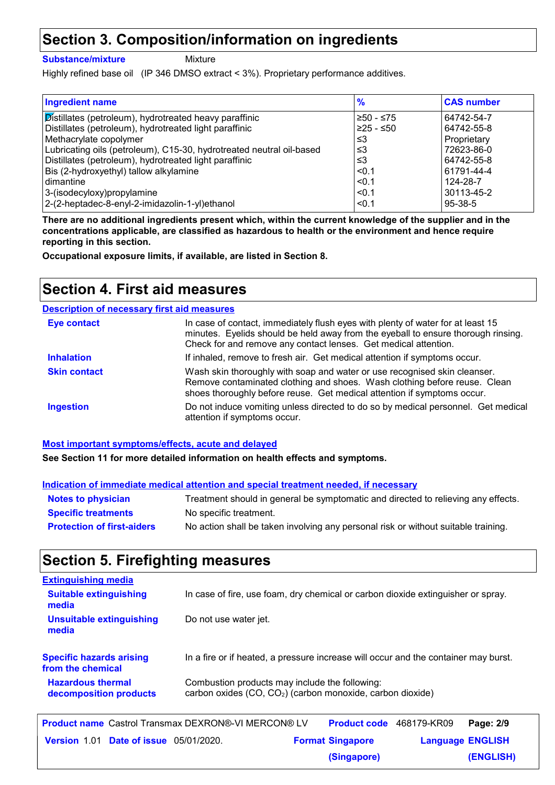### **Section 3. Composition/information on ingredients**

**Substance/mixture**

Mixture

Highly refined base oil (IP 346 DMSO extract < 3%). Proprietary performance additives.

| <b>Ingredient name</b>                                               | $\frac{9}{6}$ | <b>CAS number</b> |
|----------------------------------------------------------------------|---------------|-------------------|
| Distillates (petroleum), hydrotreated heavy paraffinic               | 1≥50 - ≤75    | 64742-54-7        |
| Distillates (petroleum), hydrotreated light paraffinic               | 225 - ≤50     | 64742-55-8        |
| Methacrylate copolymer                                               | ≤3            | Proprietary       |
| Lubricating oils (petroleum), C15-30, hydrotreated neutral oil-based | ו≥ ≥          | 72623-86-0        |
| Distillates (petroleum), hydrotreated light paraffinic               | ≤3            | 64742-55-8        |
| Bis (2-hydroxyethyl) tallow alkylamine                               | < 0.1         | 61791-44-4        |
| <b>dimantine</b>                                                     | < 0.1         | 124-28-7          |
| 3-(isodecyloxy)propylamine                                           | < 0.1         | 30113-45-2        |
| 2-(2-heptadec-8-enyl-2-imidazolin-1-yl)ethanol                       | < 0.1         | $95 - 38 - 5$     |

**There are no additional ingredients present which, within the current knowledge of the supplier and in the concentrations applicable, are classified as hazardous to health or the environment and hence require reporting in this section.**

**Occupational exposure limits, if available, are listed in Section 8.**

### **Section 4. First aid measures**

| <b>Description of necessary first aid measures</b> |                                                                                                                                                                                                                                         |
|----------------------------------------------------|-----------------------------------------------------------------------------------------------------------------------------------------------------------------------------------------------------------------------------------------|
| <b>Eye contact</b>                                 | In case of contact, immediately flush eyes with plenty of water for at least 15<br>minutes. Eyelids should be held away from the eyeball to ensure thorough rinsing.<br>Check for and remove any contact lenses. Get medical attention. |
| <b>Inhalation</b>                                  | If inhaled, remove to fresh air. Get medical attention if symptoms occur.                                                                                                                                                               |
| <b>Skin contact</b>                                | Wash skin thoroughly with soap and water or use recognised skin cleanser.<br>Remove contaminated clothing and shoes. Wash clothing before reuse. Clean<br>shoes thoroughly before reuse. Get medical attention if symptoms occur.       |
| <b>Ingestion</b>                                   | Do not induce vomiting unless directed to do so by medical personnel. Get medical<br>attention if symptoms occur.                                                                                                                       |

**Most important symptoms/effects, acute and delayed**

**See Section 11 for more detailed information on health effects and symptoms.**

#### **Indication of immediate medical attention and special treatment needed, if necessary**

| <b>Notes to physician</b>         | Treatment should in general be symptomatic and directed to relieving any effects.  |
|-----------------------------------|------------------------------------------------------------------------------------|
| <b>Specific treatments</b>        | No specific treatment.                                                             |
| <b>Protection of first-aiders</b> | No action shall be taken involving any personal risk or without suitable training. |

## **Section 5. Firefighting measures**

| In case of fire, use foam, dry chemical or carbon dioxide extinguisher or spray.                                         |
|--------------------------------------------------------------------------------------------------------------------------|
| Do not use water jet.                                                                                                    |
| In a fire or if heated, a pressure increase will occur and the container may burst.                                      |
| Combustion products may include the following:<br>carbon oxides (CO, CO <sub>2</sub> ) (carbon monoxide, carbon dioxide) |
|                                                                                                                          |

|                                               | <b>Product name</b> Castrol Transmax DEXRON®-VI MERCON® LV | <b>Product code</b> 468179-KR09 |                         | Page: 2/9 |
|-----------------------------------------------|------------------------------------------------------------|---------------------------------|-------------------------|-----------|
| <b>Version 1.01 Date of issue 05/01/2020.</b> |                                                            | <b>Format Singapore</b>         | <b>Language ENGLISH</b> |           |
|                                               |                                                            | (Singapore)                     |                         | (ENGLISH) |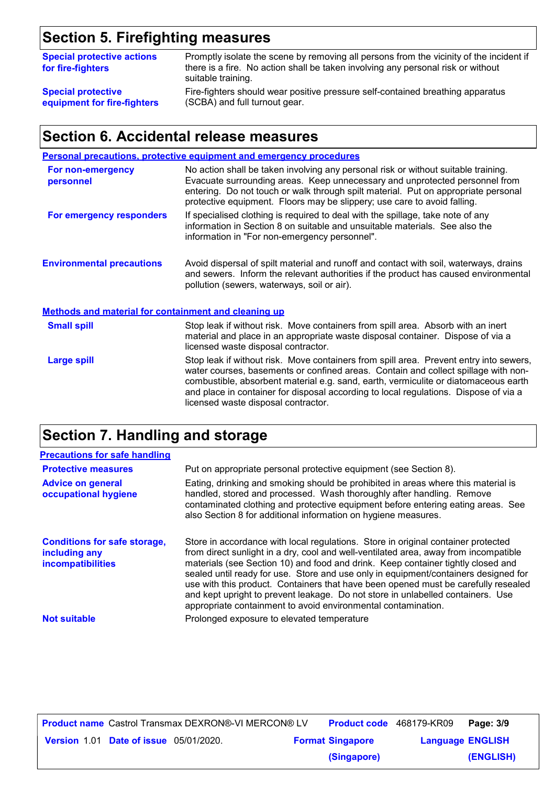## **Section 5. Firefighting measures**

| <b>Special protective actions</b><br>for fire-fighters | Promptly isolate the scene by removing all persons from the vicinity of the incident if<br>there is a fire. No action shall be taken involving any personal risk or without<br>suitable training. |
|--------------------------------------------------------|---------------------------------------------------------------------------------------------------------------------------------------------------------------------------------------------------|
| <b>Special protective</b>                              | Fire-fighters should wear positive pressure self-contained breathing apparatus                                                                                                                    |
| equipment for fire-fighters                            | (SCBA) and full turnout gear.                                                                                                                                                                     |

## **Section 6. Accidental release measures**

|                                                             | <b>Personal precautions, protective equipment and emergency procedures</b>                                                                                                                                                                                                                                                                                                                         |
|-------------------------------------------------------------|----------------------------------------------------------------------------------------------------------------------------------------------------------------------------------------------------------------------------------------------------------------------------------------------------------------------------------------------------------------------------------------------------|
| For non-emergency<br>personnel                              | No action shall be taken involving any personal risk or without suitable training.<br>Evacuate surrounding areas. Keep unnecessary and unprotected personnel from<br>entering. Do not touch or walk through spilt material. Put on appropriate personal<br>protective equipment. Floors may be slippery; use care to avoid falling.                                                                |
| For emergency responders                                    | If specialised clothing is required to deal with the spillage, take note of any<br>information in Section 8 on suitable and unsuitable materials. See also the<br>information in "For non-emergency personnel".                                                                                                                                                                                    |
| <b>Environmental precautions</b>                            | Avoid dispersal of spilt material and runoff and contact with soil, waterways, drains<br>and sewers. Inform the relevant authorities if the product has caused environmental<br>pollution (sewers, waterways, soil or air).                                                                                                                                                                        |
| <b>Methods and material for containment and cleaning up</b> |                                                                                                                                                                                                                                                                                                                                                                                                    |
| <b>Small spill</b>                                          | Stop leak if without risk. Move containers from spill area. Absorb with an inert<br>material and place in an appropriate waste disposal container. Dispose of via a<br>licensed waste disposal contractor.                                                                                                                                                                                         |
| <b>Large spill</b>                                          | Stop leak if without risk. Move containers from spill area. Prevent entry into sewers,<br>water courses, basements or confined areas. Contain and collect spillage with non-<br>combustible, absorbent material e.g. sand, earth, vermiculite or diatomaceous earth<br>and place in container for disposal according to local regulations. Dispose of via a<br>licensed waste disposal contractor. |

## **Section 7. Handling and storage**

| <b>Precautions for safe handling</b>                                             |                                                                                                                                                                                                                                                                                                                                                                                                                                                                                                                                                                                                |
|----------------------------------------------------------------------------------|------------------------------------------------------------------------------------------------------------------------------------------------------------------------------------------------------------------------------------------------------------------------------------------------------------------------------------------------------------------------------------------------------------------------------------------------------------------------------------------------------------------------------------------------------------------------------------------------|
| <b>Protective measures</b>                                                       | Put on appropriate personal protective equipment (see Section 8).                                                                                                                                                                                                                                                                                                                                                                                                                                                                                                                              |
| <b>Advice on general</b><br>occupational hygiene                                 | Eating, drinking and smoking should be prohibited in areas where this material is<br>handled, stored and processed. Wash thoroughly after handling. Remove<br>contaminated clothing and protective equipment before entering eating areas. See<br>also Section 8 for additional information on hygiene measures.                                                                                                                                                                                                                                                                               |
| <b>Conditions for safe storage,</b><br>including any<br><b>incompatibilities</b> | Store in accordance with local regulations. Store in original container protected<br>from direct sunlight in a dry, cool and well-ventilated area, away from incompatible<br>materials (see Section 10) and food and drink. Keep container tightly closed and<br>sealed until ready for use. Store and use only in equipment/containers designed for<br>use with this product. Containers that have been opened must be carefully resealed<br>and kept upright to prevent leakage. Do not store in unlabelled containers. Use<br>appropriate containment to avoid environmental contamination. |
| <b>Not suitable</b>                                                              | Prolonged exposure to elevated temperature                                                                                                                                                                                                                                                                                                                                                                                                                                                                                                                                                     |

|                                               | <b>Product name</b> Castrol Transmax DEXRON®-VI MERCON® LV | <b>Product code</b> 468179-KR09 |                         | Page: 3/9 |
|-----------------------------------------------|------------------------------------------------------------|---------------------------------|-------------------------|-----------|
| <b>Version 1.01 Date of issue 05/01/2020.</b> |                                                            | <b>Format Singapore</b>         | <b>Language ENGLISH</b> |           |
|                                               |                                                            | (Singapore)                     |                         | (ENGLISH) |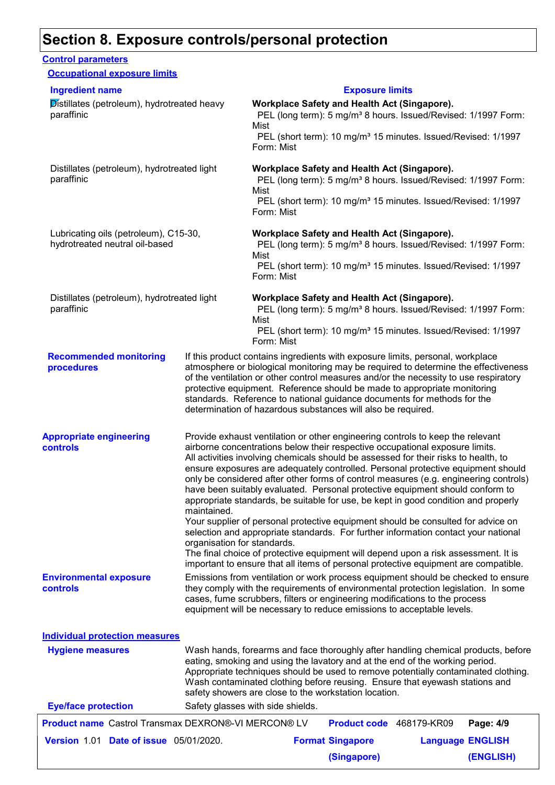### **Section 8. Exposure controls/personal protection**

#### **Recommended monitoring procedures** If this product contains ingredients with exposure limits, personal, workplace atmosphere or biological monitoring may be required to determine the effectiveness of the ventilation or other control measures and/or the necessity to use respiratory protective equipment. Reference should be made to appropriate monitoring standards. Reference to national guidance documents for methods for the determination of hazardous substances will also be required. **Eye/face protection** Safety glasses with side shields. **Environmental exposure controls** Emissions from ventilation or work process equipment should be checked to ensure they comply with the requirements of environmental protection legislation. In some cases, fume scrubbers, filters or engineering modifications to the process equipment will be necessary to reduce emissions to acceptable levels. **Appropriate engineering controls** Provide exhaust ventilation or other engineering controls to keep the relevant airborne concentrations below their respective occupational exposure limits. All activities involving chemicals should be assessed for their risks to health, to ensure exposures are adequately controlled. Personal protective equipment should only be considered after other forms of control measures (e.g. engineering controls) have been suitably evaluated. Personal protective equipment should conform to appropriate standards, be suitable for use, be kept in good condition and properly maintained. Your supplier of personal protective equipment should be consulted for advice on selection and appropriate standards. For further information contact your national organisation for standards. The final choice of protective equipment will depend upon a risk assessment. It is important to ensure that all items of personal protective equipment are compatible. Wash hands, forearms and face thoroughly after handling chemical products, before eating, smoking and using the lavatory and at the end of the working period. Appropriate techniques should be used to remove potentially contaminated clothing. Wash contaminated clothing before reusing. Ensure that eyewash stations and safety showers are close to the workstation location. **Hygiene measures Control parameters Individual protection measures Occupational exposure limits** Distillates (petroleum), hydrotreated heavy paraffinic **Workplace Safety and Health Act (Singapore).** PEL (long term): 5 mg/m<sup>3</sup> 8 hours. Issued/Revised: 1/1997 Form: Mist PEL (short term): 10 mg/m<sup>3</sup> 15 minutes. Issued/Revised: 1/1997 Form: Mist Distillates (petroleum), hydrotreated light paraffinic **Workplace Safety and Health Act (Singapore).** PEL (long term): 5 mg/m<sup>3</sup> 8 hours. Issued/Revised: 1/1997 Form: Mist PEL (short term): 10 mg/m<sup>3</sup> 15 minutes. Issued/Revised: 1/1997 Form: Mist Lubricating oils (petroleum), C15-30, hydrotreated neutral oil-based **Workplace Safety and Health Act (Singapore).** PEL (long term): 5 mg/m<sup>3</sup> 8 hours. Issued/Revised: 1/1997 Form: Mist PEL (short term): 10 mg/m<sup>3</sup> 15 minutes. Issued/Revised: 1/1997 Form: Mist Distillates (petroleum), hydrotreated light paraffinic **Workplace Safety and Health Act (Singapore).** PEL (long term): 5 mg/m<sup>3</sup> 8 hours. Issued/Revised: 1/1997 Form: Mist PEL (short term): 10 mg/m<sup>3</sup> 15 minutes. Issued/Revised: 1/1997 Form: Mist **Ingredient name Exposure limits Date of issue** 05/01/2020. **Version** 1.01 **Format Singapore Language Product name** Castrol Transmax DEXRON®-VI MERCON® LV **Product code** 468179-KR09 **Page: 4/9** | **Language ENGLISH** Product code 468179-KR09 Page: 4/9

**(ENGLISH)**

**(Singapore)**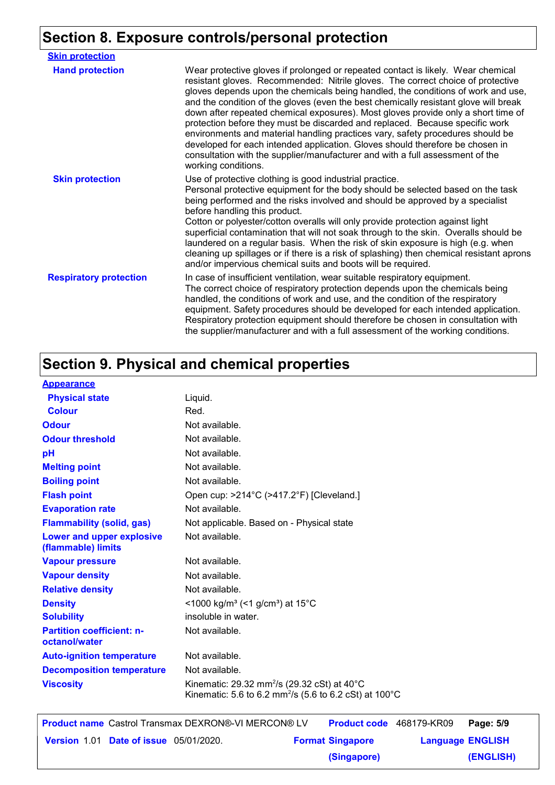## **Section 8. Exposure controls/personal protection**

| <b>Skin protection</b>        |                                                                                                                                                                                                                                                                                                                                                                                                                                                                                                                                                                                                                                                                                                                                                                                                 |
|-------------------------------|-------------------------------------------------------------------------------------------------------------------------------------------------------------------------------------------------------------------------------------------------------------------------------------------------------------------------------------------------------------------------------------------------------------------------------------------------------------------------------------------------------------------------------------------------------------------------------------------------------------------------------------------------------------------------------------------------------------------------------------------------------------------------------------------------|
| <b>Hand protection</b>        | Wear protective gloves if prolonged or repeated contact is likely. Wear chemical<br>resistant gloves. Recommended: Nitrile gloves. The correct choice of protective<br>gloves depends upon the chemicals being handled, the conditions of work and use,<br>and the condition of the gloves (even the best chemically resistant glove will break<br>down after repeated chemical exposures). Most gloves provide only a short time of<br>protection before they must be discarded and replaced. Because specific work<br>environments and material handling practices vary, safety procedures should be<br>developed for each intended application. Gloves should therefore be chosen in<br>consultation with the supplier/manufacturer and with a full assessment of the<br>working conditions. |
| <b>Skin protection</b>        | Use of protective clothing is good industrial practice.<br>Personal protective equipment for the body should be selected based on the task<br>being performed and the risks involved and should be approved by a specialist<br>before handling this product.<br>Cotton or polyester/cotton overalls will only provide protection against light<br>superficial contamination that will not soak through to the skin. Overalls should be<br>laundered on a regular basis. When the risk of skin exposure is high (e.g. when<br>cleaning up spillages or if there is a risk of splashing) then chemical resistant aprons<br>and/or impervious chemical suits and boots will be required.                                                                                                           |
| <b>Respiratory protection</b> | In case of insufficient ventilation, wear suitable respiratory equipment.<br>The correct choice of respiratory protection depends upon the chemicals being<br>handled, the conditions of work and use, and the condition of the respiratory<br>equipment. Safety procedures should be developed for each intended application.<br>Respiratory protection equipment should therefore be chosen in consultation with<br>the supplier/manufacturer and with a full assessment of the working conditions.                                                                                                                                                                                                                                                                                           |

## **Section 9. Physical and chemical properties**

|--|--|--|--|--|--|

| <u>TRANGALANDA</u>                                |                                                                                                                                          |
|---------------------------------------------------|------------------------------------------------------------------------------------------------------------------------------------------|
| <b>Physical state</b>                             | Liquid.                                                                                                                                  |
| <b>Colour</b>                                     | Red.                                                                                                                                     |
| <b>Odour</b>                                      | Not available.                                                                                                                           |
| <b>Odour threshold</b>                            | Not available.                                                                                                                           |
| pH                                                | Not available.                                                                                                                           |
| <b>Melting point</b>                              | Not available.                                                                                                                           |
| <b>Boiling point</b>                              | Not available.                                                                                                                           |
| <b>Flash point</b>                                | Open cup: $>214^{\circ}$ C ( $>417.2^{\circ}$ F) [Cleveland.]                                                                            |
| <b>Evaporation rate</b>                           | Not available.                                                                                                                           |
| <b>Flammability (solid, gas)</b>                  | Not applicable. Based on - Physical state                                                                                                |
| Lower and upper explosive<br>(flammable) limits   | Not available.                                                                                                                           |
| <b>Vapour pressure</b>                            | Not available.                                                                                                                           |
| <b>Vapour density</b>                             | Not available.                                                                                                                           |
| <b>Relative density</b>                           | Not available.                                                                                                                           |
| <b>Density</b>                                    | <1000 kg/m <sup>3</sup> (<1 g/cm <sup>3</sup> ) at 15 <sup>°</sup> C                                                                     |
| <b>Solubility</b>                                 | insoluble in water.                                                                                                                      |
| <b>Partition coefficient: n-</b><br>octanol/water | Not available.                                                                                                                           |
| <b>Auto-ignition temperature</b>                  | Not available.                                                                                                                           |
| <b>Decomposition temperature</b>                  | Not available.                                                                                                                           |
| <b>Viscosity</b>                                  | Kinematic: 29.32 mm <sup>2</sup> /s (29.32 cSt) at $40^{\circ}$ C<br>Kinematic: 5.6 to 6.2 mm <sup>2</sup> /s (5.6 to 6.2 cSt) at 100 °C |
|                                                   |                                                                                                                                          |

|                                               | <b>Product name</b> Castrol Transmax DEXRON®-VI MERCON® LV | Product code 468179-KR09 |                         | Page: 5/9 |
|-----------------------------------------------|------------------------------------------------------------|--------------------------|-------------------------|-----------|
| <b>Version 1.01 Date of issue 05/01/2020.</b> |                                                            | <b>Format Singapore</b>  | <b>Language ENGLISH</b> |           |
|                                               |                                                            | (Singapore)              |                         | (ENGLISH) |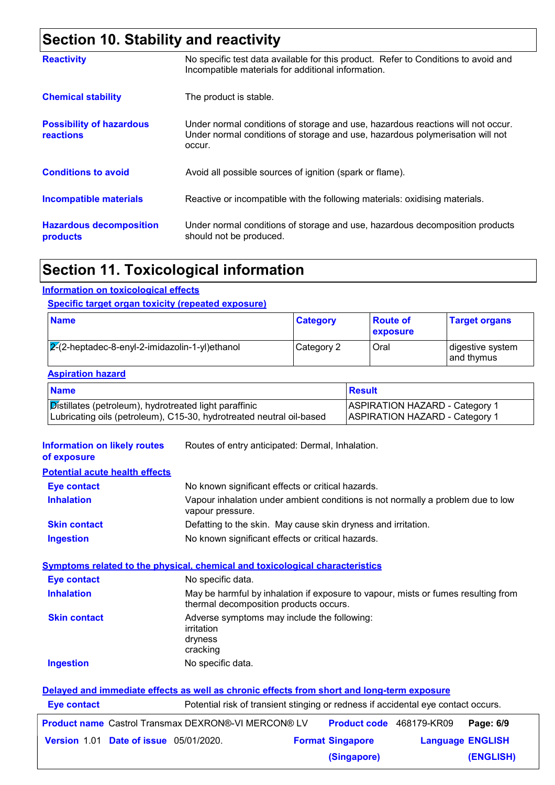## **Section 10. Stability and reactivity**

| <b>Reactivity</b>                                   | No specific test data available for this product. Refer to Conditions to avoid and<br>Incompatible materials for additional information.                                   |
|-----------------------------------------------------|----------------------------------------------------------------------------------------------------------------------------------------------------------------------------|
| <b>Chemical stability</b>                           | The product is stable.                                                                                                                                                     |
| <b>Possibility of hazardous</b><br><b>reactions</b> | Under normal conditions of storage and use, hazardous reactions will not occur.<br>Under normal conditions of storage and use, hazardous polymerisation will not<br>occur. |
| <b>Conditions to avoid</b>                          | Avoid all possible sources of ignition (spark or flame).                                                                                                                   |
| Incompatible materials                              | Reactive or incompatible with the following materials: oxidising materials.                                                                                                |
| <b>Hazardous decomposition</b><br>products          | Under normal conditions of storage and use, hazardous decomposition products<br>should not be produced.                                                                    |

## **Section 11. Toxicological information**

#### **Information on toxicological effects**

#### **Specific target organ toxicity (repeated exposure)**

| <b>Name</b>                                       | <b>Category</b> | <b>Route of</b><br><b>exposure</b> | <b>Target organs</b>           |
|---------------------------------------------------|-----------------|------------------------------------|--------------------------------|
| $ Z(2$ -heptadec-8-enyl-2-imidazolin-1-yl)ethanol | Category 2      | Oral                               | digestive system<br>and thymus |

#### **Aspiration hazard**

| <b>Name</b>                                                          | <b>Result</b>                         |
|----------------------------------------------------------------------|---------------------------------------|
| Distillates (petroleum), hydrotreated light paraffinic               | ASPIRATION HAZARD - Category 1        |
| Lubricating oils (petroleum), C15-30, hydrotreated neutral oil-based | <b>ASPIRATION HAZARD - Category 1</b> |

| <b>Information on likely routes</b><br>of exposure         | Routes of entry anticipated: Dermal, Inhalation.                                                                            |                                                                                 |                         |           |
|------------------------------------------------------------|-----------------------------------------------------------------------------------------------------------------------------|---------------------------------------------------------------------------------|-------------------------|-----------|
| <b>Potential acute health effects</b>                      |                                                                                                                             |                                                                                 |                         |           |
| <b>Eye contact</b>                                         | No known significant effects or critical hazards.                                                                           |                                                                                 |                         |           |
| <b>Inhalation</b>                                          | vapour pressure.                                                                                                            | Vapour inhalation under ambient conditions is not normally a problem due to low |                         |           |
| <b>Skin contact</b>                                        | Defatting to the skin. May cause skin dryness and irritation.                                                               |                                                                                 |                         |           |
| <b>Ingestion</b>                                           | No known significant effects or critical hazards.                                                                           |                                                                                 |                         |           |
| <b>Eye contact</b>                                         | <b>Symptoms related to the physical, chemical and toxicological characteristics</b><br>No specific data.                    |                                                                                 |                         |           |
| <b>Inhalation</b>                                          | May be harmful by inhalation if exposure to vapour, mists or fumes resulting from<br>thermal decomposition products occurs. |                                                                                 |                         |           |
| <b>Skin contact</b>                                        | Adverse symptoms may include the following:<br>irritation<br>dryness<br>cracking                                            |                                                                                 |                         |           |
| <b>Ingestion</b>                                           | No specific data.                                                                                                           |                                                                                 |                         |           |
|                                                            | Delayed and immediate effects as well as chronic effects from short and long-term exposure                                  |                                                                                 |                         |           |
| <b>Eye contact</b>                                         | Potential risk of transient stinging or redness if accidental eye contact occurs.                                           |                                                                                 |                         |           |
| <b>Product name</b> Castrol Transmax DEXRON®-VI MERCON® LV |                                                                                                                             | Product code 468179-KR09                                                        |                         | Page: 6/9 |
| <b>Version 1.01 Date of issue 05/01/2020.</b>              |                                                                                                                             | <b>Format Singapore</b>                                                         | <b>Language ENGLISH</b> |           |
|                                                            |                                                                                                                             | (Singapore)                                                                     |                         | (ENGLISH) |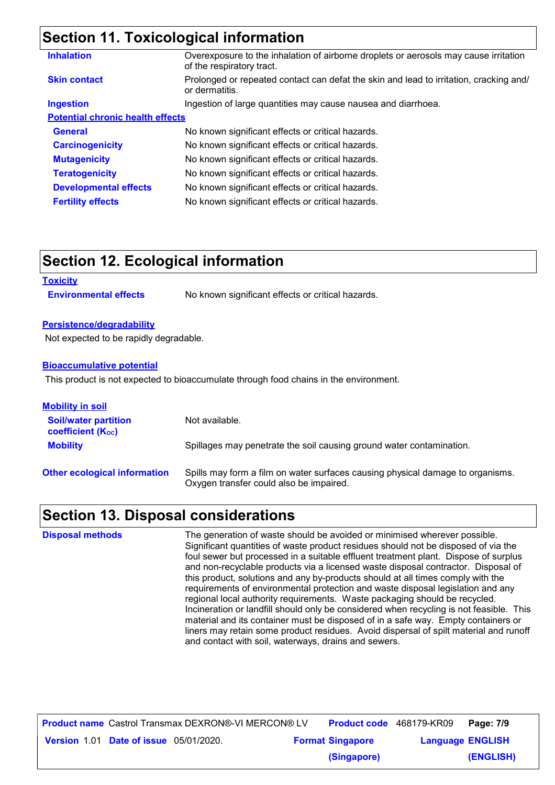## **Section 11. Toxicological information**

| <b>Inhalation</b>                       | Overexposure to the inhalation of airborne droplets or aerosols may cause irritation<br>of the respiratory tract. |
|-----------------------------------------|-------------------------------------------------------------------------------------------------------------------|
| <b>Skin contact</b>                     | Prolonged or repeated contact can defat the skin and lead to irritation, cracking and/<br>or dermatitis.          |
| <b>Ingestion</b>                        | Ingestion of large quantities may cause nausea and diarrhoea.                                                     |
| <b>Potential chronic health effects</b> |                                                                                                                   |
| <b>General</b>                          | No known significant effects or critical hazards.                                                                 |
| <b>Carcinogenicity</b>                  | No known significant effects or critical hazards.                                                                 |
| <b>Mutagenicity</b>                     | No known significant effects or critical hazards.                                                                 |
| <b>Teratogenicity</b>                   | No known significant effects or critical hazards.                                                                 |
| <b>Developmental effects</b>            | No known significant effects or critical hazards.                                                                 |
| <b>Fertility effects</b>                | No known significant effects or critical hazards.                                                                 |

### **Section 12. Ecological information**

#### **Toxicity**

**Environmental effects** No known significant effects or critical hazards.

#### **Persistence/degradability**

Not expected to be rapidly degradable.

#### **Bioaccumulative potential**

This product is not expected to bioaccumulate through food chains in the environment.

| <b>Mobility in soil</b>                                 |                                                                                                                           |
|---------------------------------------------------------|---------------------------------------------------------------------------------------------------------------------------|
| <b>Soil/water partition</b><br><b>coefficient (Koc)</b> | Not available.                                                                                                            |
| <b>Mobility</b>                                         | Spillages may penetrate the soil causing ground water contamination.                                                      |
| <b>Other ecological information</b>                     | Spills may form a film on water surfaces causing physical damage to organisms.<br>Oxygen transfer could also be impaired. |

### **Section 13. Disposal considerations**

The generation of waste should be avoided or minimised wherever possible. Significant quantities of waste product residues should not be disposed of via the foul sewer but processed in a suitable effluent treatment plant. Dispose of surplus and non-recyclable products via a licensed waste disposal contractor. Disposal of this product, solutions and any by-products should at all times comply with the requirements of environmental protection and waste disposal legislation and any regional local authority requirements. Waste packaging should be recycled. Incineration or landfill should only be considered when recycling is not feasible. This material and its container must be disposed of in a safe way. Empty containers or liners may retain some product residues. Avoid dispersal of spilt material and runoff and contact with soil, waterways, drains and sewers. **Disposal methods**

|                                               | <b>Product name</b> Castrol Transmax DEXRON®-VI MERCON® LV | Product code 468179-KR09 |                         | Page: 7/9 |  |
|-----------------------------------------------|------------------------------------------------------------|--------------------------|-------------------------|-----------|--|
| <b>Version 1.01 Date of issue 05/01/2020.</b> |                                                            | <b>Format Singapore</b>  | <b>Language ENGLISH</b> |           |  |
|                                               |                                                            | (Singapore)              |                         | (ENGLISH) |  |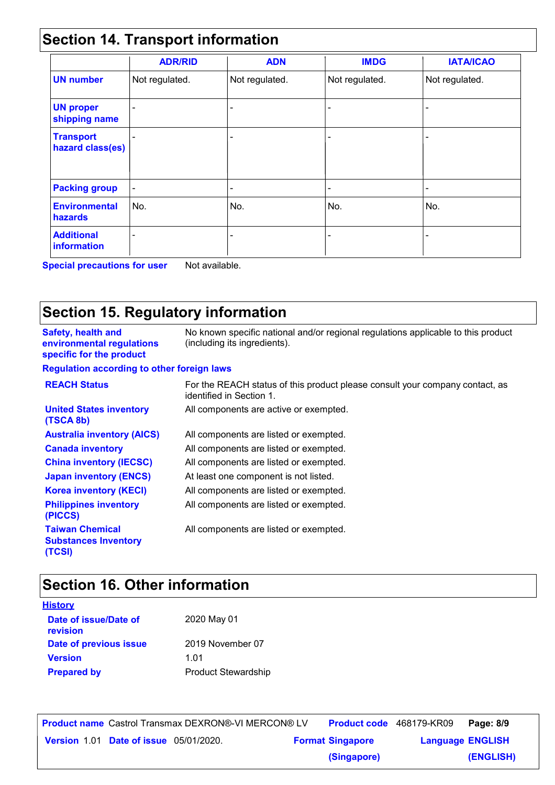## **Section 14. Transport information**

|                                      | <b>ADR/RID</b>           | <b>ADN</b>                   | <b>IMDG</b>              | <b>IATA/ICAO</b> |
|--------------------------------------|--------------------------|------------------------------|--------------------------|------------------|
| <b>UN number</b>                     | Not regulated.           | Not regulated.               | Not regulated.           | Not regulated.   |
| <b>UN proper</b><br>shipping name    |                          | $\qquad \qquad \blacksquare$ |                          |                  |
| <b>Transport</b><br>hazard class(es) |                          | $\overline{\phantom{a}}$     | $\overline{\phantom{0}}$ |                  |
| <b>Packing group</b>                 | $\overline{\phantom{a}}$ | $\overline{\phantom{a}}$     | -                        | -                |
| <b>Environmental</b><br>hazards      | No.                      | No.                          | No.                      | No.              |
| <b>Additional</b><br>information     |                          |                              |                          |                  |

**Special precautions for user** Not available.

## **Section 15. Regulatory information**

| <b>Safety, health and</b><br>environmental regulations<br>specific for the product | No known specific national and/or regional regulations applicable to this product<br>(including its ingredients). |
|------------------------------------------------------------------------------------|-------------------------------------------------------------------------------------------------------------------|
| <b>Regulation according to other foreign laws</b>                                  |                                                                                                                   |
| <b>REACH Status</b>                                                                | For the REACH status of this product please consult your company contact, as<br>identified in Section 1.          |
| <b>United States inventory</b><br>(TSCA 8b)                                        | All components are active or exempted.                                                                            |
| <b>Australia inventory (AICS)</b>                                                  | All components are listed or exempted.                                                                            |
| <b>Canada inventory</b>                                                            | All components are listed or exempted.                                                                            |
| <b>China inventory (IECSC)</b>                                                     | All components are listed or exempted.                                                                            |
| <b>Japan inventory (ENCS)</b>                                                      | At least one component is not listed.                                                                             |
| <b>Korea inventory (KECI)</b>                                                      | All components are listed or exempted.                                                                            |
| <b>Philippines inventory</b><br>(PICCS)                                            | All components are listed or exempted.                                                                            |
| <b>Taiwan Chemical</b><br><b>Substances Inventory</b><br>(TCSI)                    | All components are listed or exempted.                                                                            |

## **Section 16. Other information**

| <b>History</b>                    |                            |
|-----------------------------------|----------------------------|
| Date of issue/Date of<br>revision | 2020 May 01                |
| Date of previous issue            | 2019 November 07           |
| <b>Version</b>                    | 1.01                       |
| <b>Prepared by</b>                | <b>Product Stewardship</b> |

|                                               | <b>Product name</b> Castrol Transmax DEXRON®-VI MERCON® LV | <b>Product code</b> 468179-KR09 |                         | Page: 8/9 |
|-----------------------------------------------|------------------------------------------------------------|---------------------------------|-------------------------|-----------|
| <b>Version 1.01 Date of issue 05/01/2020.</b> |                                                            | <b>Format Singapore</b>         | <b>Language ENGLISH</b> |           |
|                                               |                                                            | (Singapore)                     |                         | (ENGLISH) |